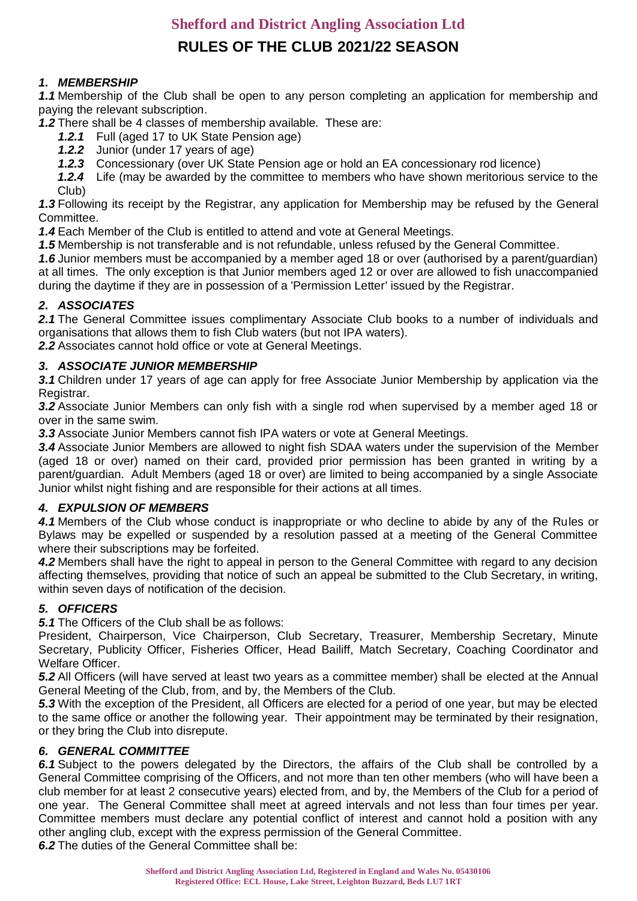# **RULES OF THE CLUB 2021/22 SEASON**

## *1. MEMBERSHIP*

*1.1* Membership of the Club shall be open to any person completing an application for membership and paying the relevant subscription.

*1.2* There shall be 4 classes of membership available. These are:

- *1.2.1* Full (aged 17 to UK State Pension age)
- *1.2.2* Junior (under 17 years of age)
- *1.2.3* Concessionary (over UK State Pension age or hold an EA concessionary rod licence)
- *1.2.4* Life (may be awarded by the committee to members who have shown meritorious service to the Club)

*1.3* Following its receipt by the Registrar, any application for Membership may be refused by the General Committee.

*1.4* Each Member of the Club is entitled to attend and vote at General Meetings.

*1.5* Membership is not transferable and is not refundable, unless refused by the General Committee.

*1.6* Junior members must be accompanied by a member aged 18 or over (authorised by a parent/guardian) at all times. The only exception is that Junior members aged 12 or over are allowed to fish unaccompanied during the daytime if they are in possession of a 'Permission Letter' issued by the Registrar.

### *2. ASSOCIATES*

2.1 The General Committee issues complimentary Associate Club books to a number of individuals and organisations that allows them to fish Club waters (but not IPA waters).

*2.2* Associates cannot hold office or vote at General Meetings.

#### *3. ASSOCIATE JUNIOR MEMBERSHIP*

*3.1* Children under 17 years of age can apply for free Associate Junior Membership by application via the Registrar.

*3.2* Associate Junior Members can only fish with a single rod when supervised by a member aged 18 or over in the same swim.

*3.3* Associate Junior Members cannot fish IPA waters or vote at General Meetings.

*3.4* Associate Junior Members are allowed to night fish SDAA waters under the supervision of the Member (aged 18 or over) named on their card, provided prior permission has been granted in writing by a parent/guardian. Adult Members (aged 18 or over) are limited to being accompanied by a single Associate Junior whilst night fishing and are responsible for their actions at all times.

### *4. EXPULSION OF MEMBERS*

*4.1* Members of the Club whose conduct is inappropriate or who decline to abide by any of the Rules or Bylaws may be expelled or suspended by a resolution passed at a meeting of the General Committee where their subscriptions may be forfeited.

*4.2* Members shall have the right to appeal in person to the General Committee with regard to any decision affecting themselves, providing that notice of such an appeal be submitted to the Club Secretary, in writing, within seven days of notification of the decision.

### *5. OFFICERS*

*5.1* The Officers of the Club shall be as follows:

President, Chairperson, Vice Chairperson, Club Secretary, Treasurer, Membership Secretary, Minute Secretary, Publicity Officer, Fisheries Officer, Head Bailiff, Match Secretary, Coaching Coordinator and Welfare Officer.

*5.2* All Officers (will have served at least two years as a committee member) shall be elected at the Annual General Meeting of the Club, from, and by, the Members of the Club.

*5.3* With the exception of the President, all Officers are elected for a period of one year, but may be elected to the same office or another the following year. Their appointment may be terminated by their resignation, or they bring the Club into disrepute.

#### *6. GENERAL COMMITTEE*

**6.1** Subject to the powers delegated by the Directors, the affairs of the Club shall be controlled by a General Committee comprising of the Officers, and not more than ten other members (who will have been a club member for at least 2 consecutive years) elected from, and by, the Members of the Club for a period of one year. The General Committee shall meet at agreed intervals and not less than four times per year. Committee members must declare any potential conflict of interest and cannot hold a position with any other angling club, except with the express permission of the General Committee.

**6.2** The duties of the General Committee shall be: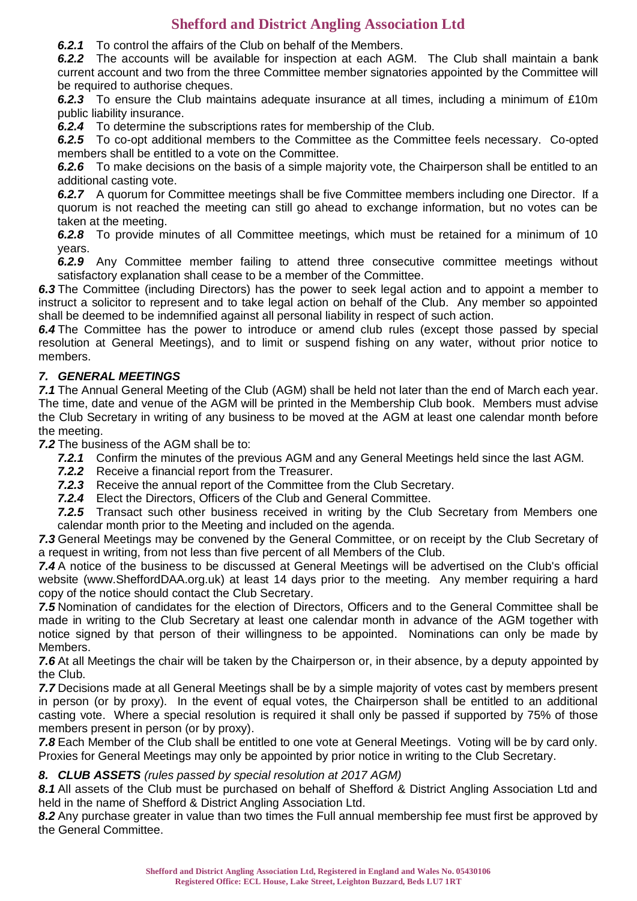*6.2.1* To control the affairs of the Club on behalf of the Members.

*6.2.2* The accounts will be available for inspection at each AGM. The Club shall maintain a bank current account and two from the three Committee member signatories appointed by the Committee will be required to authorise cheques.

*6.2.3* To ensure the Club maintains adequate insurance at all times, including a minimum of £10m public liability insurance.

*6.2.4* To determine the subscriptions rates for membership of the Club.

*6.2.5* To co-opt additional members to the Committee as the Committee feels necessary. Co-opted members shall be entitled to a vote on the Committee.

**6.2.6** To make decisions on the basis of a simple majority vote, the Chairperson shall be entitled to an additional casting vote.

**6.2.7** A quorum for Committee meetings shall be five Committee members including one Director. If a quorum is not reached the meeting can still go ahead to exchange information, but no votes can be taken at the meeting.

*6.2.8* To provide minutes of all Committee meetings, which must be retained for a minimum of 10 years.

*6.2.9* Any Committee member failing to attend three consecutive committee meetings without satisfactory explanation shall cease to be a member of the Committee.

*6.3* The Committee (including Directors) has the power to seek legal action and to appoint a member to instruct a solicitor to represent and to take legal action on behalf of the Club. Any member so appointed shall be deemed to be indemnified against all personal liability in respect of such action.

*6.4* The Committee has the power to introduce or amend club rules (except those passed by special resolution at General Meetings), and to limit or suspend fishing on any water, without prior notice to members.

## *7. GENERAL MEETINGS*

*7.1* The Annual General Meeting of the Club (AGM) shall be held not later than the end of March each year. The time, date and venue of the AGM will be printed in the Membership Club book. Members must advise the Club Secretary in writing of any business to be moved at the AGM at least one calendar month before the meeting.

*7.2* The business of the AGM shall be to:

- *7.2.1* Confirm the minutes of the previous AGM and any General Meetings held since the last AGM.
- *7.2.2* Receive a financial report from the Treasurer.
- *7.2.3* Receive the annual report of the Committee from the Club Secretary.
- *7.2.4* Elect the Directors, Officers of the Club and General Committee.

*7.2.5* Transact such other business received in writing by the Club Secretary from Members one calendar month prior to the Meeting and included on the agenda.

*7.3* General Meetings may be convened by the General Committee, or on receipt by the Club Secretary of a request in writing, from not less than five percent of all Members of the Club.

*7.4* A notice of the business to be discussed at General Meetings will be advertised on the Club's official website (www.SheffordDAA.org.uk) at least 14 days prior to the meeting. Any member requiring a hard copy of the notice should contact the Club Secretary.

*7.5* Nomination of candidates for the election of Directors, Officers and to the General Committee shall be made in writing to the Club Secretary at least one calendar month in advance of the AGM together with notice signed by that person of their willingness to be appointed. Nominations can only be made by Members.

*7.6* At all Meetings the chair will be taken by the Chairperson or, in their absence, by a deputy appointed by the Club.

*7.7* Decisions made at all General Meetings shall be by a simple majority of votes cast by members present in person (or by proxy). In the event of equal votes, the Chairperson shall be entitled to an additional casting vote. Where a special resolution is required it shall only be passed if supported by 75% of those members present in person (or by proxy).

*7.8* Each Member of the Club shall be entitled to one vote at General Meetings. Voting will be by card only. Proxies for General Meetings may only be appointed by prior notice in writing to the Club Secretary.

### *8. CLUB ASSETS (rules passed by special resolution at 2017 AGM)*

8.1 All assets of the Club must be purchased on behalf of Shefford & District Angling Association Ltd and held in the name of Shefford & District Angling Association Ltd.

8.2 Any purchase greater in value than two times the Full annual membership fee must first be approved by the General Committee.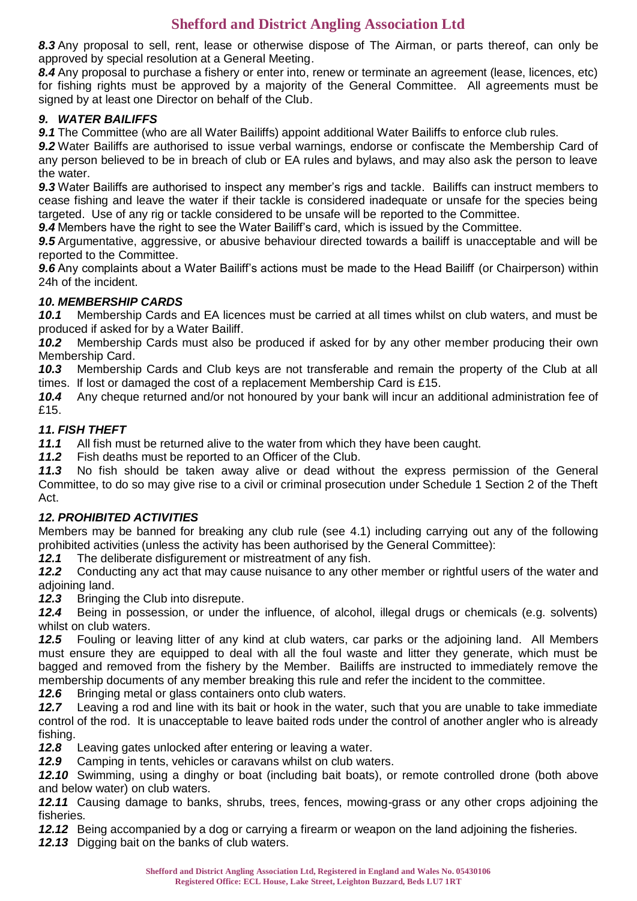*8.3* Any proposal to sell, rent, lease or otherwise dispose of The Airman, or parts thereof, can only be approved by special resolution at a General Meeting.

*8.4* Any proposal to purchase a fishery or enter into, renew or terminate an agreement (lease, licences, etc) for fishing rights must be approved by a majority of the General Committee. All agreements must be signed by at least one Director on behalf of the Club.

### *9. WATER BAILIFFS*

9.1 The Committee (who are all Water Bailiffs) appoint additional Water Bailiffs to enforce club rules.

*9.2* Water Bailiffs are authorised to issue verbal warnings, endorse or confiscate the Membership Card of any person believed to be in breach of club or EA rules and bylaws, and may also ask the person to leave the water.

*9.3* Water Bailiffs are authorised to inspect any member's rigs and tackle. Bailiffs can instruct members to cease fishing and leave the water if their tackle is considered inadequate or unsafe for the species being targeted. Use of any rig or tackle considered to be unsafe will be reported to the Committee.

*9.4* Members have the right to see the Water Bailiff's card, which is issued by the Committee.

*9.5* Argumentative, aggressive, or abusive behaviour directed towards a bailiff is unacceptable and will be reported to the Committee.

*9.6* Any complaints about a Water Bailiff's actions must be made to the Head Bailiff (or Chairperson) within 24h of the incident.

#### *10. MEMBERSHIP CARDS*

*10.1* Membership Cards and EA licences must be carried at all times whilst on club waters, and must be produced if asked for by a Water Bailiff.

*10.2* Membership Cards must also be produced if asked for by any other member producing their own Membership Card.

*10.3* Membership Cards and Club keys are not transferable and remain the property of the Club at all times. If lost or damaged the cost of a replacement Membership Card is £15.

*10.4* Any cheque returned and/or not honoured by your bank will incur an additional administration fee of £15.

#### *11. FISH THEFT*

*11.1* All fish must be returned alive to the water from which they have been caught.

*11.2* Fish deaths must be reported to an Officer of the Club.

*11.3* No fish should be taken away alive or dead without the express permission of the General Committee, to do so may give rise to a civil or criminal prosecution under Schedule 1 Section 2 of the Theft Act.

### *12. PROHIBITED ACTIVITIES*

Members may be banned for breaking any club rule (see 4.1) including carrying out any of the following prohibited activities (unless the activity has been authorised by the General Committee):

12.1 The deliberate disfigurement or mistreatment of any fish.

*12.2* Conducting any act that may cause nuisance to any other member or rightful users of the water and adjoining land.

*12.3* Bringing the Club into disrepute.

*12.4* Being in possession, or under the influence, of alcohol, illegal drugs or chemicals (e.g. solvents) whilst on club waters.

*12.5* Fouling or leaving litter of any kind at club waters, car parks or the adjoining land. All Members must ensure they are equipped to deal with all the foul waste and litter they generate, which must be bagged and removed from the fishery by the Member. Bailiffs are instructed to immediately remove the membership documents of any member breaking this rule and refer the incident to the committee.

*12.6* Bringing metal or glass containers onto club waters.

*12.7* Leaving a rod and line with its bait or hook in the water, such that you are unable to take immediate control of the rod. It is unacceptable to leave baited rods under the control of another angler who is already fishing.

*12.8* Leaving gates unlocked after entering or leaving a water.

*12.9* Camping in tents, vehicles or caravans whilst on club waters.

*12.10* Swimming, using a dinghy or boat (including bait boats), or remote controlled drone (both above and below water) on club waters.

*12.11* Causing damage to banks, shrubs, trees, fences, mowing-grass or any other crops adjoining the fisheries.

*12.12* Being accompanied by a dog or carrying a firearm or weapon on the land adjoining the fisheries.

*12.13* Digging bait on the banks of club waters.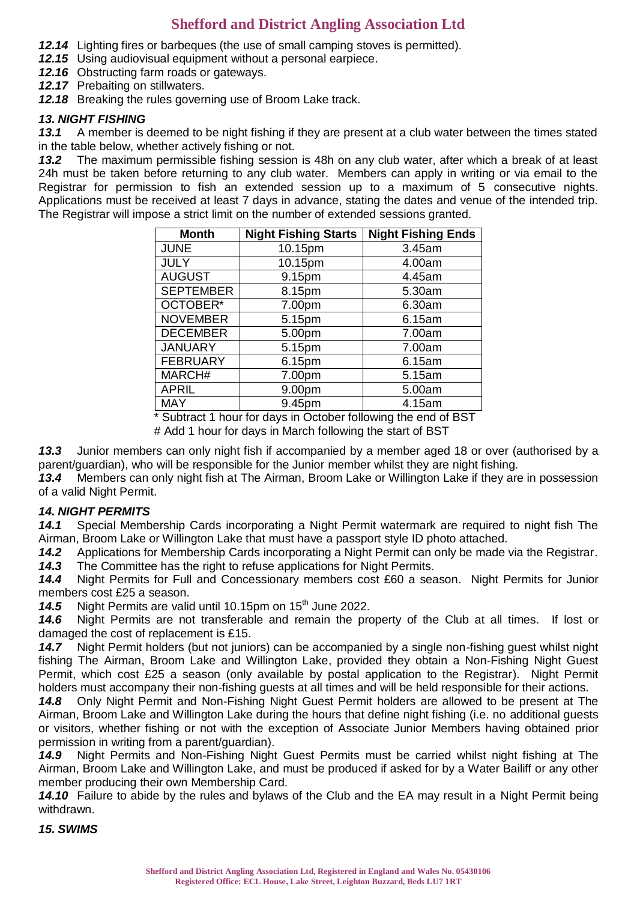- *12.14* Lighting fires or barbeques (the use of small camping stoves is permitted).
- *12.15* Using audiovisual equipment without a personal earpiece.
- *12.16* Obstructing farm roads or gateways.
- 12.17 Prebaiting on stillwaters.
- *12.18* Breaking the rules governing use of Broom Lake track.

## *13. NIGHT FISHING*

*13.1* A member is deemed to be night fishing if they are present at a club water between the times stated in the table below, whether actively fishing or not.

*13.2* The maximum permissible fishing session is 48h on any club water, after which a break of at least 24h must be taken before returning to any club water. Members can apply in writing or via email to the Registrar for permission to fish an extended session up to a maximum of 5 consecutive nights. Applications must be received at least 7 days in advance, stating the dates and venue of the intended trip. The Registrar will impose a strict limit on the number of extended sessions granted.

| <b>Month</b>     | <b>Night Fishing Starts</b> | <b>Night Fishing Ends</b> |
|------------------|-----------------------------|---------------------------|
| <b>JUNE</b>      | 10.15pm                     | 3.45am                    |
| <b>JULY</b>      | 10.15pm                     | 4.00am                    |
| <b>AUGUST</b>    | 9.15pm                      | 4.45am                    |
| <b>SEPTEMBER</b> | 8.15pm                      | 5.30am                    |
| OCTOBER*         | 7.00pm                      | 6.30am                    |
| <b>NOVEMBER</b>  | 5.15pm                      | 6.15am                    |
| <b>DECEMBER</b>  | 5.00pm                      | 7.00am                    |
| <b>JANUARY</b>   | 5.15pm                      | 7.00am                    |
| <b>FEBRUARY</b>  | 6.15pm                      | 6.15am                    |
| MARCH#           | 7.00pm                      | 5.15am                    |
| <b>APRIL</b>     | 9.00pm                      | 5.00am                    |
| <b>MAY</b>       | 9.45pm                      | 4.15am                    |

\* Subtract 1 hour for days in October following the end of BST

# Add 1 hour for days in March following the start of BST

*13.3* Junior members can only night fish if accompanied by a member aged 18 or over (authorised by a parent/guardian), who will be responsible for the Junior member whilst they are night fishing.

*13.4* Members can only night fish at The Airman, Broom Lake or Willington Lake if they are in possession of a valid Night Permit.

### *14. NIGHT PERMITS*

*14.1* Special Membership Cards incorporating a Night Permit watermark are required to night fish The Airman, Broom Lake or Willington Lake that must have a passport style ID photo attached.

*14.2* Applications for Membership Cards incorporating a Night Permit can only be made via the Registrar. *14.3* The Committee has the right to refuse applications for Night Permits.

*14.4* Night Permits for Full and Concessionary members cost £60 a season. Night Permits for Junior members cost £25 a season.

14.5 Night Permits are valid until 10.15pm on 15<sup>th</sup> June 2022.

*14.6* Night Permits are not transferable and remain the property of the Club at all times. If lost or damaged the cost of replacement is £15.

*14.7* Night Permit holders (but not juniors) can be accompanied by a single non-fishing guest whilst night fishing The Airman, Broom Lake and Willington Lake, provided they obtain a Non-Fishing Night Guest Permit, which cost £25 a season (only available by postal application to the Registrar). Night Permit holders must accompany their non-fishing guests at all times and will be held responsible for their actions.

*14.8* Only Night Permit and Non-Fishing Night Guest Permit holders are allowed to be present at The Airman, Broom Lake and Willington Lake during the hours that define night fishing (i.e. no additional guests or visitors, whether fishing or not with the exception of Associate Junior Members having obtained prior permission in writing from a parent/guardian).

*14.9* Night Permits and Non-Fishing Night Guest Permits must be carried whilst night fishing at The Airman, Broom Lake and Willington Lake, and must be produced if asked for by a Water Bailiff or any other member producing their own Membership Card.

*14.10* Failure to abide by the rules and bylaws of the Club and the EA may result in a Night Permit being withdrawn.

*15. SWIMS*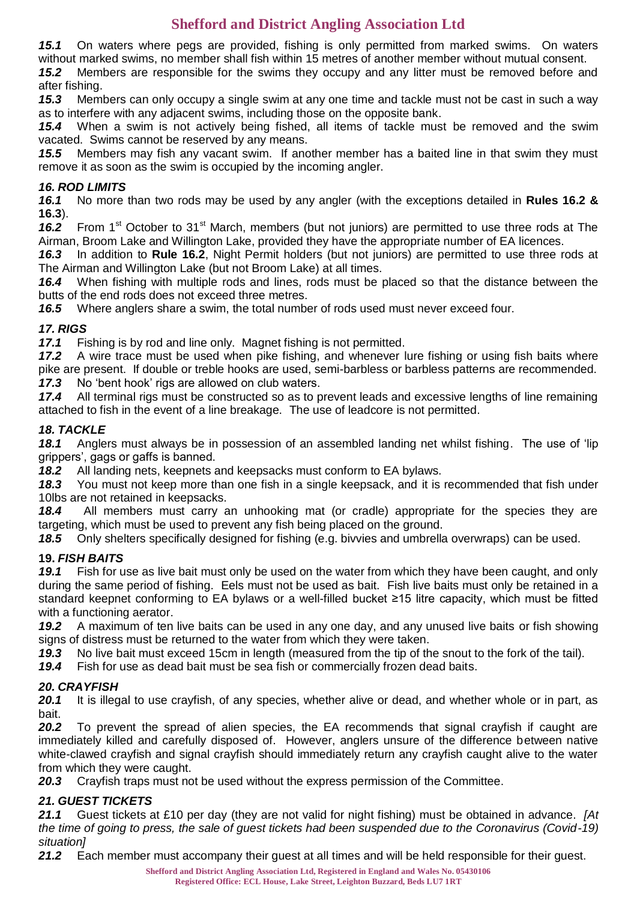*15.1* On waters where pegs are provided, fishing is only permitted from marked swims. On waters without marked swims, no member shall fish within 15 metres of another member without mutual consent.

*15.2* Members are responsible for the swims they occupy and any litter must be removed before and after fishing.

*15.3* Members can only occupy a single swim at any one time and tackle must not be cast in such a way as to interfere with any adjacent swims, including those on the opposite bank.

*15.4* When a swim is not actively being fished, all items of tackle must be removed and the swim vacated. Swims cannot be reserved by any means.

*15.5* Members may fish any vacant swim. If another member has a baited line in that swim they must remove it as soon as the swim is occupied by the incoming angler.

## *16. ROD LIMITS*

*16.1* No more than two rods may be used by any angler (with the exceptions detailed in **Rules 16.2 & 16.3**).

16.2 From 1<sup>st</sup> October to 31<sup>st</sup> March, members (but not juniors) are permitted to use three rods at The Airman, Broom Lake and Willington Lake, provided they have the appropriate number of EA licences.

*16.3* In addition to **Rule 16.2**, Night Permit holders (but not juniors) are permitted to use three rods at The Airman and Willington Lake (but not Broom Lake) at all times.

*16.4* When fishing with multiple rods and lines, rods must be placed so that the distance between the butts of the end rods does not exceed three metres.

*16.5* Where anglers share a swim, the total number of rods used must never exceed four.

## *17. RIGS*

*17.1* Fishing is by rod and line only. Magnet fishing is not permitted.

*17.2* A wire trace must be used when pike fishing, and whenever lure fishing or using fish baits where pike are present. If double or treble hooks are used, semi-barbless or barbless patterns are recommended.

*17.3* No 'bent hook' rigs are allowed on club waters.

17.4 All terminal rigs must be constructed so as to prevent leads and excessive lengths of line remaining attached to fish in the event of a line breakage. The use of leadcore is not permitted.

## *18. TACKLE*

*18.1* Anglers must always be in possession of an assembled landing net whilst fishing. The use of 'lip grippers', gags or gaffs is banned.

*18.2* All landing nets, keepnets and keepsacks must conform to EA bylaws.

*18.3* You must not keep more than one fish in a single keepsack, and it is recommended that fish under 10lbs are not retained in keepsacks.

*18.4* All members must carry an unhooking mat (or cradle) appropriate for the species they are targeting, which must be used to prevent any fish being placed on the ground.

*18.5* Only shelters specifically designed for fishing (e.g. bivvies and umbrella overwraps) can be used.

## **19.** *FISH BAITS*

*19.1* Fish for use as live bait must only be used on the water from which they have been caught, and only during the same period of fishing. Eels must not be used as bait. Fish live baits must only be retained in a standard keepnet conforming to EA bylaws or a well-filled bucket ≥15 litre capacity, which must be fitted with a functioning aerator.

*19.2* A maximum of ten live baits can be used in any one day, and any unused live baits or fish showing signs of distress must be returned to the water from which they were taken.

*19.3* No live bait must exceed 15cm in length (measured from the tip of the snout to the fork of the tail).

*19.4* Fish for use as dead bait must be sea fish or commercially frozen dead baits.

## *20. CRAYFISH*

*20.1* It is illegal to use crayfish, of any species, whether alive or dead, and whether whole or in part, as bait.

20.2 To prevent the spread of alien species, the EA recommends that signal crayfish if caught are immediately killed and carefully disposed of. However, anglers unsure of the difference between native white-clawed crayfish and signal crayfish should immediately return any crayfish caught alive to the water from which they were caught.

*20.3* Crayfish traps must not be used without the express permission of the Committee.

## *21. GUEST TICKETS*

*21.1* Guest tickets at £10 per day (they are not valid for night fishing) must be obtained in advance. *[At the time of going to press, the sale of guest tickets had been suspended due to the Coronavirus (Covid-19) situation]*

21.2 Each member must accompany their guest at all times and will be held responsible for their guest.